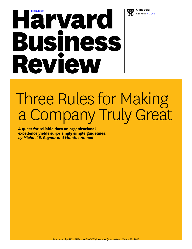

# **[HBR.ORG](http://hbr.org) APRIL 2013**<br>**APRIL 2013**<br>**APRIL 2013 Business** Review

# Three Rules for Making a Company Truly Great

**A quest for reliable data on organizational excellence yields surprisingly simple guidelines.**  *by Michael E. Raynor and Mumtaz Ahmed*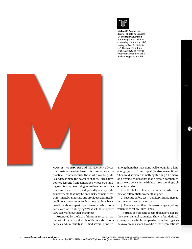

**Michael E. Raynor** is a director at Deloitte Services LP, and **Mumtaz Ahmed** is a principal with Deloitte Consulting LLP and the chief strategy officer for Deloitte LLP. They are the authors of *The Three Rules: How Exceptional Companies Think,* forthcoming from Portfolio.



**Much of the strategy** and management advice that business leaders turn to is unreliable or impractical. That's because those who would guide us underestimate the power of chance. Gurus draw pointed lessons from companies whose outstanding results may be nothing more than random fluctuations. Executives speak proudly of corporate achievements that may be only lucky coincidences. Unfortunately, almost no one provides scientifically credible answers to every business leader's basic questions about superior performance: Which companies are worth studying? What sets them apart? How can we follow their examples?

Frustrated by the lack of rigorous research, we undertook a statistical study of thousands of companies, and eventually identified several hundred

among them that have done well enough for a long enough period of time to qualify as truly exceptional. Then we discovered something startling: The many and diverse choices that made certain companies great were consistent with just three seemingly elementary rules:

1. Better before cheaper—in other words, compete on differentiators other than price.

2. Revenue before cost—that is, prioritize increasing revenue over reducing costs.

3. There are no other rules—so change anything you must to follow Rules 1 and 2.

The rules don't dictate specific behaviors; nor are they even general strategies. They're foundational concepts on which companies have built greatness over many years. How did these organizations'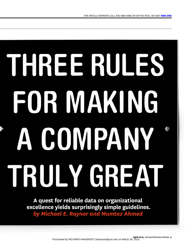# THREE RULES FOR MAKING A COMPANY TRULY GREAT

**A quest for reliable data on organizational excellence yields surprisingly simple guidelines.** *by Michael E. Raynor and Mumtaz Ahmed*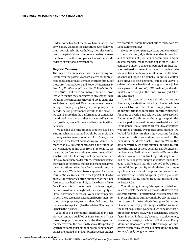leaders come to adopt them? We have no idea—nor do we know whether the executives even followed them consciously. Nevertheless, the rules can be used to help today's and tomorrow's leaders increase the chances that their companies, too, will deliver decades of exceptional performance.

#### **Beyond Truisms**

The impetus for our research was the increasing popularity over the past 30 years of "success study" business books and articles. Perhaps the most famous of these are Thomas Peters and Robert Waterman's *In Search of Excellence* (1982) and Jim Collins's *Good to Great* (2001), but there are many others. The problem with them is they don't give us any way to judge whether the companies they hold up as examples are indeed exceptional. Randomness can crown an average company king for a year, two years, even a decade, before performance reverts to the mean. If we can't be sure that the performance of companies mentioned in success studies was caused by more than just luck, we can't know whether to imitate their behaviors.

We tackled the randomness problem head-on. Finding what we assumed would be weak signals in noisy environments required a lot of data, so we began with the largest database we could find—the more than 25,000 companies that have traded on U.S. exchanges at any time from 1966 to 2010. We measured performance using return on assets (ROA), a metric that reflects strong, stable performance—unlike, say, total shareholder return, which may reflect the vagaries of the stock market and changes in investor expectations rather than fundamental company performance. We defined two categories of superior results: *Miracle Workers* fell in the top 10% of ROA for all 25,000 companies often enough that their performance was highly unlikely to have been a fluke; *Long Runners* fell in the top 20% to 40% and, again, did so consistently enough that luck was highly unlikely to have been the reason. We call the companies in both these categories exceptional performers. For comparison purposes, we also identified companies that were *Average Joes.* (See the sidebar "Finding the Signal in the Noise.")

A total of 174 companies qualified as Miracle Workers, and 170 qualified as Long Runners. That's the entire population of companies that separated themselves from the noise in this way. (It's probably worth mentioning that of the allegedly superior companies mentioned by 19 high-profile success studies

we examined, barely 12% met our criteria, even for Long Runner status.)

Exceptional companies, it turns out, come in all shapes and sizes. 3M, with its legendary innovation and thousands of products in commercial and industrial markets, made the list, but so did WD-40—a company built on a single, unpatented product that was designed to prevent corrosion on nuclear missiles and has since become most famous as the bane of squeaky hinges. The globally ubiquitous McDonald's proved to be exceptional, but so did Luby's, a cafeteria chain, when it had only 43 locations (it has since grown to almost 100). IBM qualified, and so did Syntel, even though at the time it was only 0.5% of Big Blue's size.

To understand what was behind superior performance, we identified trios in each of nine industries; each trio consisted of one company from each of our performance categories, carefully matched for years of overlap and relative size. We searched for behavioral differences that might explain the specific performance differences we had discerned. For instance, if a Miracle Worker's ROA advantage was driven primarily by superior gross margins, we looked for behaviors that might account for that. If asset utilization was salient, we looked for the behaviors that drove asset utilization. Where the data permitted, we built financial models to estimate the impact of these behavioral differences on performance. To illustrate: Heartland Express, the Miracle Worker in our trucking-industry trio, relied entirely on gross-margin advantage for its ROA edge, and its gross margins seemed to be a function of higher prices. By recalculating the company's financials without that premium, we satisfied ourselves that Heartland's pricing was a plausible explanation for its higher gross margins and thus its better ROA.

Then things got messy. We repeatedly tried and failed to isolate measurable behaviors that were consistently relevant. For example, at first it seemed that an M&A-shunning strategy might be driving exceptional results in the trucking industry; yet during one 15-year period, top-performing Heartland was also the most acquisitive. Nor could we conclude that a propensity *toward* M&A was a consistently positive factor in other industries, because in confectionery, for example, Wrigley, the Miracle Worker, and Rocky Mountain Chocolate Factory, the Average Joe, had grown organically, whereas Tootsie Roll, the Long Runner, largely bought its growth.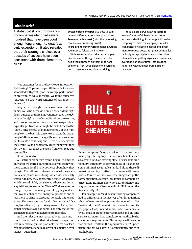#### **Idea in Brief**

A statistical study of thousands of companies identified several hundred that have been good enough long enough to qualify as truly exceptional. It also revealed that their strategic choices over decades of success have been consistent with three elementary rules:

**Better before cheaper** (it's best to compete on differentiators other than price). **Revenue before cost** (prioritize increasing revenue over reducing costs). **There are no other rules** (change anything you must to follow the first two).

With few exceptions, the best companies behave as though these principles guide them through all their important decisions, from acquisitions to diversification to resource allocation to pricing.

The rules can serve as an antidote to leaders' all-too-fallible intuition. When income is declining, for example, it can be tempting to make the company's results look better by slashing assets and investment to reduce costs. But great companies typically accept higher costs as the price of excellence, putting significant resources, over long periods of time, into creating nonprice value and generating higher revenue.

Was customer focus the key? Nope. Innovation? Risk taking? Nope and nope. All these factors were associated with great, good, or average performance in pretty much equal measure. We found ourselves reduced to a two-word sentence of surrender: "It depends."

Maybe, we thought, the lesson was that companies could be successful only if they did the *right*  deals, pursued the *right* innovations, or took the *right* risks in the *right* sorts of ways. But those are truisms, and thus as useless as the advice businesspeople so typically get from what might be called the Do the Right Thing School of Management: Get the right people on the bus! (Did anyone ever want the wrong people?) Have a clear strategy! (Does anyone ever set out to create a confusing one?) Give customers what they want! (Who deliberately gives them what they don't want?) All these are taken from well-read success studies.

So we pressed on.

A useful explanatory frame began to emerge only after we shifted our emphasis away from what these companies *did* to hypotheses about how they *thought.* That allowed us to see past what the exceptional companies were doing, which was endlessly variable, to how they apparently decided what to do, which proved highly consistent. When considering acquisitions, for example, Miracle Workers acted as though they were following our rules, going for deals that would enhance their nonprice positions and allow them to bring in disproportionately higher revenues. The same was true for all other behavioral factors, from diversifying to taking a narrow focus, from globalizing to staying at home. The only factor that seemed to matter was adherence to the rules.

And the rules are most assuredly *not* truisms. It could have turned out that price-based competition was systematically more profitable, or that cost leadership took precedence as a driver of superior performance—but it didn't.

# **RULE 1 BETTER BEFORE CHEAPER**

Every company faces a choice: It can compete mainly by offering superior nonprice benefits such as a great brand, an exciting style, or excellent functionality, durability, or convenience; or it can meet some minimal acceptable standard along these dimensions and try to attract customers with lower prices. Miracle Workers overwhelmingly adopt the former position. Average Joes typically compete on price. Long Runners show no clear tendency one way or the other. (See the exhibit "Following the Rules [Mostly].")

For example, in 1980, when trucking companies had to differentiate themselves after deregulation, a host of new growth opportunities opened up. Yet Heartland, the Miracle Worker, chose to keep its geographic footprint and number of customers relatively small in order to provide reliable and on-time service, no matter how complex or unpredictable its customers' requirements. This nonprice differentiation earned Heartland the approximately 10% price premium that was key to its consistently superior profitability.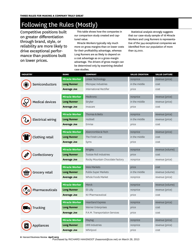## Following the Rules (Mostly)

Competitive positions built on greater differentiation through brand, style, or reliability are more likely to drive exceptional performance than positions built on lower prices.

This table shows how the companies in our comparison study created and captured value.

Miracle Workers typically rely much more on gross margins than on lower costs for their profitability advantage, whereas Long Runners are as likely to depend on a cost advantage as on a gross-margin advantage. The drivers of gross margin can be determined only by examining detailed case studies.

Statistical analysis strongly suggests that our case-study sample of 18 Miracle Workers and Long Runners is representative of the 344 exceptional companies we identified from our population of more than 25,000.

| <b>INDUSTRY</b>          | <b>RANK</b>           | <b>COMPANY</b>                   | <b>VALUE CREATION</b> | <b>VALUE CAPTURE</b> |
|--------------------------|-----------------------|----------------------------------|-----------------------|----------------------|
| Semiconductors           | <b>Miracle Worker</b> | Linear Technology                | nonprice              | revenue (price)      |
|                          | <b>Long Runner</b>    | Micropac Industries              | in the middle         | cost                 |
|                          | <b>Average Joe</b>    | International Rectifier          | price                 | cost                 |
| <b>Medical devices</b>   | <b>Miracle Worker</b> | Medtronic                        | nonprice              | revenue (price)      |
|                          | <b>Long Runner</b>    | Stryker                          | in the middle         | revenue (price)      |
|                          | <b>Average Joe</b>    | Invacare                         | price                 | cost                 |
|                          |                       |                                  |                       |                      |
| <b>Electrical wiring</b> | <b>Miracle Worker</b> | Thomas & Betts                   | nonprice              | revenue (price)      |
|                          | <b>Long Runner</b>    | Hubbell                          | in the middle         | revenue (price)      |
|                          | <b>Average Joe</b>    | Emrise                           | price                 | cost                 |
| <b>Clothing retail</b>   | <b>Miracle Worker</b> | Abercrombie & Fitch              | nonprice              | revenue (price)      |
|                          | <b>Long Runner</b>    | The Finish Line                  | in the middle         | cost                 |
|                          | <b>Average Joe</b>    | Syms                             | price                 | cost                 |
|                          | <b>Miracle Worker</b> | Wrigley                          |                       | revenue (volume)     |
| Confectionery            |                       | <b>Tootsie Roll Industries</b>   | nonprice              |                      |
|                          | <b>Long Runner</b>    |                                  | price                 | cost                 |
|                          | <b>Average Joe</b>    | Rocky Mountain Chocolate Factory | nonprice              | revenue (price)      |
| Grocery retail           | <b>Miracle Worker</b> | Weis Markets                     | price                 | cost                 |
|                          | <b>Long Runner</b>    | <b>Publix Super Markets</b>      | in the middle         | revenue (volume)     |
|                          | <b>Average Joe</b>    | Whole Foods Market               | nonprice              | revenue (price)      |
| Pharmaceuticals          | <b>Miracle Worker</b> | Merck                            | nonprice              | revenue (volume)     |
|                          | <b>Long Runner</b>    | Eli Lilly                        | nonprice              | revenue (price)      |
|                          | <b>Average Joe</b>    | KV Pharmaceutical                | price                 | cost                 |
| <b>Trucking</b>          | <b>Miracle Worker</b> | <b>Heartland Express</b>         | nonprice              | revenue (price)      |
|                          | <b>Long Runner</b>    | Werner Enterprises               | price                 | cost                 |
|                          |                       |                                  |                       |                      |
|                          | <b>Average Joe</b>    | P.A.M. Transportation Services   | price                 | cost                 |
| Appliances               | <b>Miracle Worker</b> | Maytag                           | nonprice              | revenue (price)      |
|                          | <b>Long Runner</b>    | <b>HMI Industries</b>            | nonprice              | revenue (price)      |
|                          | <b>Average Joe</b>    | Whirlpool                        | price                 | cost                 |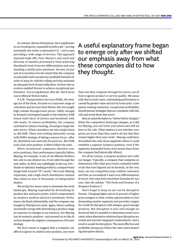In contrast, Werner Enterprises, the Long Runner in our trucking trio, expanded in both scale—serving essentially the entire continental U.S.—and scope, providing a wide range of services. This approach imposed trade-offs. First, Werner's vast reach and diversity of markets prevented it from achieving Heartland's level of service differentiation and commanding a similar price premium. Second, its pursuit of economies of scale meant that the company occasionally had to accept less-profitable business in order to keep its vehicles rolling and thus maintain an adequate level of asset utilization. Its first-rate execution enabled Werner to achieve exceptional performance—it *is* a Long Runner, after all—but it never rose to Miracle Worker status.

P.A.M. Transportation Services (PAM), the Average Joe of the three, focused on a narrower range of customers and services than Werner did, but sought high volume through lower prices. Oddly enough, as demand outstripped supply in the industry, PAM found itself short of drivers and burdened with idle assets. To restore profitability, the company switched to contract trucking, choosing to target the auto sector. When carmakers ran into tough times, so did PAM. There was nothing inherently wrong with PAM's strategy of taking a narrow focus—after all, Heartland was narrowly focused too. But PAM took a low-price position. It didn't follow the rules.

When exceptional companies abandon nonprice positions, their performance typically falters. Maytag, for example, is one of our Miracle Workers, but only in one distinct era. From 1966 through the mid-1980s, its ROA was unfailingly in the top 10% thanks to industry-leading products; a unique brand image built around "Ol' Lonely," the iconic Maytag repairman; and a high-touch distribution channel that relied on tens of thousands of independent dealers.

But as big-box stores came to dominate the retail landscape, Maytag responded by diversifying its product line and price points, which compromised its nonprice position and price premiums. Performance declined substantially, and the company was bought by Whirlpool in 2006. Again, there's nothing necessarily wrong with diversifying a product range in response to changes in an industry, but Maytag lost its nonprice position—and pressed on in this direction despite the negative consequences of its new strategy.

We don't mean to suggest that a company can afford to ignore its relative price position, any more

A useful explanatory frame began to emerge only after we shifted our emphasis away from what these companies *did* to how they *thought.*

than one that competes through low prices can afford to ignore product or service quality. We mean only that in most cases, outstanding performance is caused by greater value and not by lower price. Companies seeking sustained, exceptional profitability should pursue strategies that are consistent with this rule and avoid those that aren't.

Bear in mind the *before* in "better before cheaper." When the competitive landscape changes, as it did for Maytag, you can lower your prices and still adhere to the rule. What matters is not whether your prices are lower than they used to be but that they remain higher than your rivals'. Maytag could have diversified into only those segments where it could establish a superior nonprice position, even if the segments demanded lower price points than those the company had historically offered.

For all its virtues, a nonprice position isn't without danger. Typically, a company that competes on dimensions other than price must constantly battle rivals that have figured out its formula. At the very least, me-too competitors may confuse customers and blur an incumbent's hard-won differentiation. At worst, they may find even better formulas for success. (See the sidebar "The Perils and Promise of a Nonprice Position.")

Don't forget to keep an eye out for disruptive threats. Charging higher prices in pursuit of higher gross margins is what creates opportunities in lessdemanding market segments and provides oxygen for would-be disruptors with cheaper, good-enough products. But disruption is now well enough understood that it's possible to determine pretty accurately when alternative solutions have disruptive potential and warrant rearguard counterattacks. And a word to would-be disruptors: The most effective and profitable among you follow the rules when launching disruptive attacks.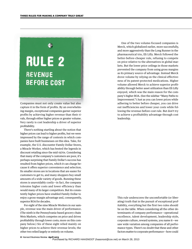# **RULE 2 REVENUE BEFORE COST**

Companies must not only create value but also capture it in the form of profits. By an overwhelming margin, exceptional companies garner superior profits by achieving higher revenue than their rivals, through either higher prices or greater volume. Very rarely is cost leadership a driver of superior profitability.

There's nothing startling about the notion that higher prices can lead to higher profits, but we were impressed by the range of contexts in which companies have built businesses on this idea. Take, for example, the U.S. discounter Family Dollar Stores, a Miracle Worker, which has bested the legends in discount retailing since the mid-1970s. Considering that many of the company's customers are poor, it's perhaps surprising that Family Dollar's success has resulted from higher prices, which it can charge because it offers superior convenience and selection. Its smaller stores are in locations that are easier for customers to get to, and many shoppers buy small amounts of a wide variety of goods. Running these stores is unavoidably costly—in fact, the company tolerates higher costs and lower efficiency than would many of its larger competitors. But its consistently higher prices have enabled Family Dollar to enjoy a gross-margin advantage and, consequently, superior ROA for decades.

For eight of the nine Miracle Workers in our sample, revenue was the main driver of performance. (The ninth is the Pennsylvania-based grocery chain Weis Markets, which competes on price and drives profitability through lower costs; more on this company below.) Six of these eight relied mainly on higher prices to achieve their revenue levels; the other two relied largely or entirely on volume.

One of the two volume-focused companies is Merck, which globalized earlier, more successfully, and more aggressively than the Long Runner in the pharmaceutical trio, Eli Lilly. Merck followed the better-before-cheaper rule, refusing to compete on price relative to the alternatives in global markets. But the lower price ceilings in those markets prevented the company from using gross margins as its primary source of advantage. Instead Merck drove volume by relying on the clinical effectiveness of its patent-protected medications. Higher volume allowed Merck to achieve superior profitability through better asset utilization than Eli Lilly enjoyed, which was the main reason for the company's higher ROA. (See the sidebar "Many Paths to Improvement.") Just as you can lower prices while adhering to better before cheaper, you can drive out inefficiencies and lower your costs while following the revenue-before-cost rule. But don't try to achieve a profitability advantage through cost leadership.

This rule underscores the uncomfortable (or liberating) truth that in the pursuit of exceptional profitability, everything but the first two rules should be on the table. When considering all the other determinants of company performance—operational excellence, talent development, leadership style, corporate culture, reward systems, you name it—we saw wide variation among companies of all performance types. There's no doubt that these and other factors matter to corporate performance—how could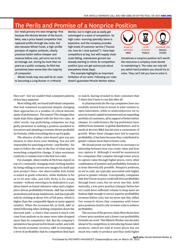## The Perils and Promise of a Nonprice Position

Our retail grocery trio was intriguing—first because the Miracle Worker of the bunch, Weis, was a price-based competitor that captured profits through low costs, but also because Whole Foods, a high-profile purveyor of organic products, clearly practices better before cheaper and revenue before cost, yet turns out to be an Average Joe. During its more than 20 years as a public company, its ROA has sometimes been worse than the majority of companies'.

Whole Foods may very well be en route to becoming a Long Runner or a Miracle

Worker, but it might just as easily get submerged in a wave of competition. Its high costs—sourcing specialty items is expensive, and the company provides high levels of customer service ("Excuse me, how do I cook quinoa?")—have kept competitors at bay, but with supply-chain costs falling, mainstream grocers are already starting to mimic its competitive position (you can get quinoa just about everywhere these days).

This example highlights an important limitation of our work: Following our rules doesn't guarantee Miracle Worker status.



Sometimes a nonprice position isn't worth the resources a company must devote to maintaining it. The rules can only tell you which hard problem you should try to solve. They can't tell you how to solve it.

they not?—but we couldn't find consistent patterns of *how* they mattered.

More telling still, we found individual companies that had remained exceptional despite changing their approaches to a number of critical determinants of performance. The reason? The changes they made kept them aligned with the first two rules. In other words, top-performing companies are doggedly persistent in seeking a position unrelated to low prices and adopting a revenue-driven profitability formula, while everything else is up for grabs.

The absence of other rules doesn't give you permission to shut down your thinking. You are still responsible for searching actively—and flexibly—for ways to follow the rules in the face of what may be wrenching competitive change. It takes enormous creativity to remain true to the first two rules.

For example, Abercrombie & Fitch has stayed on top of a constantly changing retail clothing market by being willing to invent new images for itself and new product lines—the abercrombie kids brand is aimed at grade-schoolers, while Hollister is for 14-to-18-year-olds, and Gilly Hicks is for young women—without wavering in its dedication to a position based on brand-intensive value and a higherprice-driven profitability formula. A&F has avoided promotions and steep markdowns, and has typically sold its clothing at about 70% of full price, which is higher than the comparable figure at many apparel retailers. When the recession hit, in 2008, A&F resisted following other clothing companies down the discount path—a choice that earned it much criticism from analysts as its same-store sales dropped more than its competitors' did. But the company's persistence has preserved its brand cachet, and with the recent economic recovery, A&F is returning to a level of profitability that its competitors find hard

to match, having revealed to their customers that T-shirts don't have to cost \$30 after all.

In pharmaceuticals the top companies have successfully moved from in-house to joint-venture to open innovation, while in semiconductors we've seen increased capital investment and an expanding portfolio of customers, all in support of better before cheaper. In confectionery the top performers have shifted from domestic to global distribution, and in medical devices M&A has become a cornerstone of growth. When these changes have led to superior profitability, it has been because they contributed to greater volume more than to lower costs.

We should point out that there's no necessary relationship between how you create value and how you capture it. Although it would be nonsensical for companies that compete through lower prices to capture value through higher prices, every other combination of position and profitability formula is at least theoretically possible. Nonprice positions, as we've said, are typically associated with higher prices or greater volume. Conceptually, companies that don't focus on price could still drive profitability through lower costs, but we never saw this. Arithmetically, a low-price position (cheaper before better) could drive sufficient volume to keep asset utilization high enough to secure superior profitability (revenue before cost), but we never saw this, either. Our research shows that companies with lowerprice positions tend to rely on lower costs to achieve profitability.

The success of the grocery chain Weis shows how a lower-price position and a lower-cost profitability formula can work. This Miracle Worker was decades ahead of its competitors in introducing house-label products, which are sold at lower prices but are much less costly to produce and thus yield higher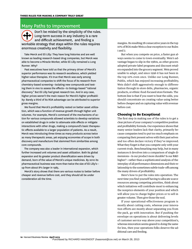### Many Paths to Improvement

Don't be misled by the simplicity of the rules. Long-term success in any industry is a rare and difficult achievement, and finding a workable strategy that stays within the rules requires enormous creativity and flexibility.

Take Merck and Eli Lilly: They have long histories and are well known as leading research-based drug companies, but Merck was able to become a Miracle Worker, while Eli Lilly remained a Long Runner. Why?

Past executives have told us that the primary driver of Merck's superior performance was its research excellence, which yielded higher-value therapies. It's true that Merck was early among pharmaceutical companies to shift the focus of its research from chemistry-based screening—isolating new compounds and testing them in vivo to assess the effects—to biology-based "rational discovery." But Eli Lilly had great research too. And in any case, higher prices weren't the main reason for Merck's higher profitability: Barely a third of its ROA advantage can be attributed to superior gross margins.

We found that Merck's profitability rested on better asset utilization, which was a function of revenue growth through higher unit volumes. For example, Merck's command of the mechanisms of action for various compounds allowed scientists to develop variations on established drugs in order to attenuate side effects or mitigate interactions with other drugs, making a compound's basic therapeutic effects available to a larger population of patients. As a result, Merck was introducing three times as many products across twice as many therapeutic areas, yet enjoying economies of scope in both discovery and manufacture that stemmed from similarities among core compounds.

The company was also a leader in international expansion, which further increased unit volumes and asset utilization. Both its global expansion and its greater product diversification were driven by demand, born of the value of Merck's unique medicines. By 2010 its pharmaceutical business was more than twice the size of Eli Lilly's up from about 8% larger in 1985.

Merck's story shows that there are various routes to better before cheaper and revenue before cost, and they should all be under consideration all the time.

margins. Its resulting 28 consecutive years in the top 10% of ROA make Weis a clear exception to our Rules 1 and 2.

But when you compete on price, a faster gun always seems to come to town eventually. Weis's advantage began to slip in the 1980s, as other grocers adopted private-label programs and discount retailers expanded into the grocery segment. Weis proved unable to adapt, and since 1996 it has not been in the top 10% even once. Unlike our Long Runner, Publix, which has enjoyed increasing profitability, Weis didn't shift aggressively enough to differentiation through in-store delis, pharmacies, organic products, or ethnic-food-focused store formats. The bottom line is that if you want to beat the odds, you should concentrate on creating value using better before cheaper and on capturing value with revenue before cost.

#### **Choosing to Be Exceptional**

The first step in making use of the rules is to get a clear picture of your company's competitive position and profitability formula. Our experience shows that many senior leaders lack that clarity, primarily because companies tend to put too much emphasis on comparing their present selves with their past selves and too often declare victory if they've improved. What they forget is that you compete only with your current rivals. Benchmarking may help, but in many instances it devolves into a comparison of single dimensions—Is our product more durable? Is our R&D higher?—rather than a sophisticated analysis of the interplay of all performance dimensions and their relationship to the sometimes subtle trade-offs among the many drivers of profitability.

Here's how to put the rules into operation: The next time you find yourself having to allocate scarce resources among competing priorities, think about which initiatives will contribute most to enhancing the nonprice elements of your position and which will allow you to charge higher prices or to sell in greater volume. Then give those the nod.

If your operational-effectiveness program is mostly about cutting costs, whereas your innovation efforts are mostly about separating you from the pack, go with innovation. But if pushing the envelope on operations is about delivering levels of customer service way above your competition's, whereas innovation seems geared to doing the same for less, then your operations folks deserve the additional care and feeding.